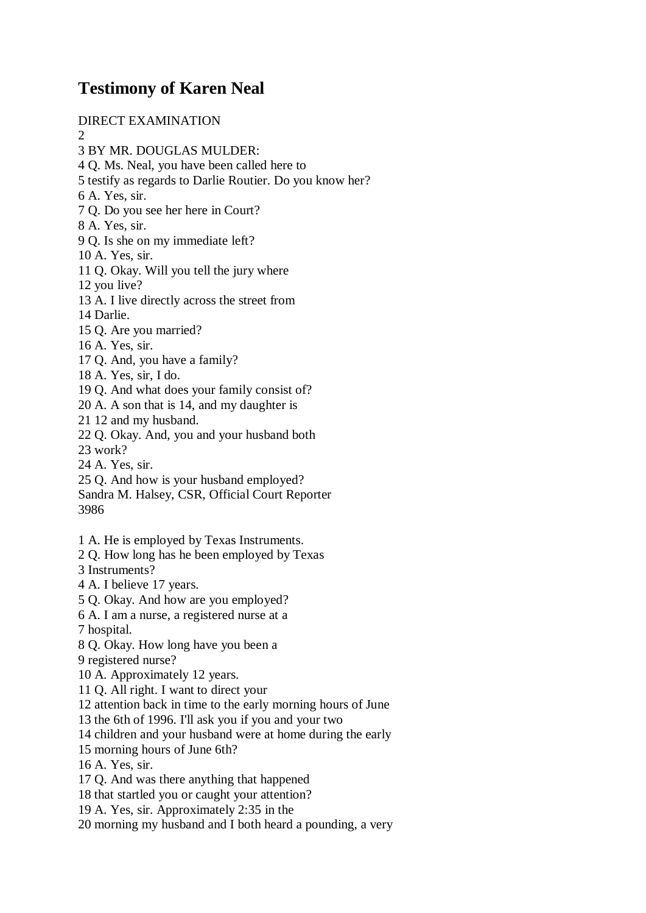## **Testimony of Karen Neal**

DIRECT EXAMINATION 2 3 BY MR. DOUGLAS MULDER: 4 Q. Ms. Neal, you have been called here to 5 testify as regards to Darlie Routier. Do you know her? 6 A. Yes, sir. 7 Q. Do you see her here in Court? 8 A. Yes, sir. 9 Q. Is she on my immediate left? 10 A. Yes, sir. 11 Q. Okay. Will you tell the jury where 12 you live? 13 A. I live directly across the street from 14 Darlie. 15 Q. Are you married? 16 A. Yes, sir. 17 Q. And, you have a family? 18 A. Yes, sir, I do. 19 Q. And what does your family consist of? 20 A. A son that is 14, and my daughter is 21 12 and my husband. 22 Q. Okay. And, you and your husband both 23 work? 24 A. Yes, sir. 25 Q. And how is your husband employed? Sandra M. Halsey, CSR, Official Court Reporter 3986 1 A. He is employed by Texas Instruments. 2 Q. How long has he been employed by Texas 3 Instruments? 4 A. I believe 17 years. 5 Q. Okay. And how are you employed? 6 A. I am a nurse, a registered nurse at a 7 hospital. 8 Q. Okay. How long have you been a 9 registered nurse? 10 A. Approximately 12 years. 11 Q. All right. I want to direct your 12 attention back in time to the early morning hours of June 13 the 6th of 1996. I'll ask you if you and your two

14 children and your husband were at home during the early

15 morning hours of June 6th?

16 A. Yes, sir.

17 Q. And was there anything that happened

18 that startled you or caught your attention?

19 A. Yes, sir. Approximately 2:35 in the

20 morning my husband and I both heard a pounding, a very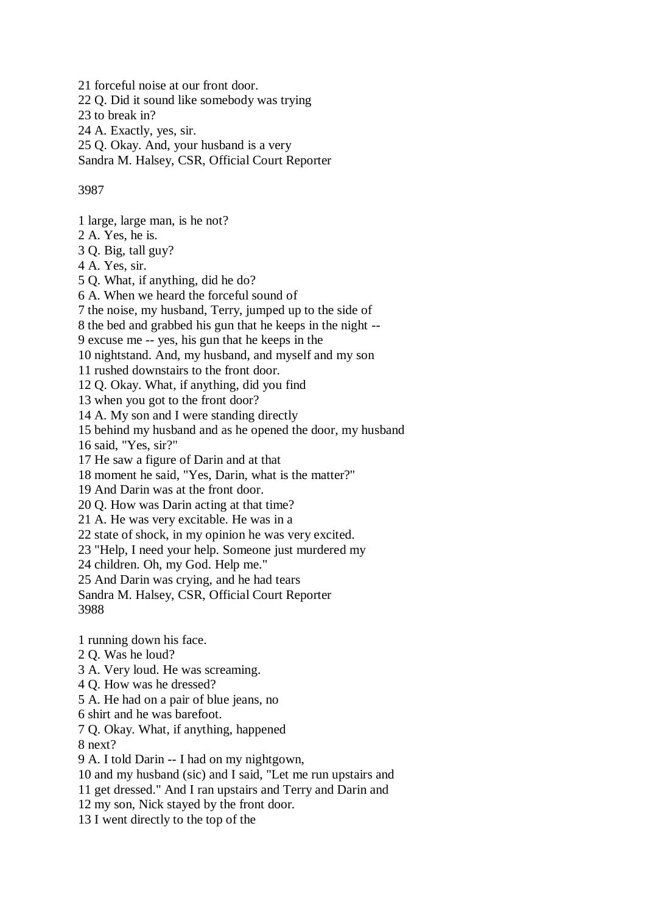21 forceful noise at our front door. 22 Q. Did it sound like somebody was trying 23 to break in? 24 A. Exactly, yes, sir. 25 Q. Okay. And, your husband is a very Sandra M. Halsey, CSR, Official Court Reporter

## 3987

1 large, large man, is he not? 2 A. Yes, he is. 3 Q. Big, tall guy? 4 A. Yes, sir. 5 Q. What, if anything, did he do? 6 A. When we heard the forceful sound of 7 the noise, my husband, Terry, jumped up to the side of 8 the bed and grabbed his gun that he keeps in the night -- 9 excuse me -- yes, his gun that he keeps in the 10 nightstand. And, my husband, and myself and my son 11 rushed downstairs to the front door. 12 Q. Okay. What, if anything, did you find 13 when you got to the front door? 14 A. My son and I were standing directly 15 behind my husband and as he opened the door, my husband 16 said, "Yes, sir?" 17 He saw a figure of Darin and at that 18 moment he said, "Yes, Darin, what is the matter?" 19 And Darin was at the front door. 20 Q. How was Darin acting at that time? 21 A. He was very excitable. He was in a 22 state of shock, in my opinion he was very excited. 23 "Help, I need your help. Someone just murdered my 24 children. Oh, my God. Help me." 25 And Darin was crying, and he had tears Sandra M. Halsey, CSR, Official Court Reporter 3988 1 running down his face. 2 Q. Was he loud? 3 A. Very loud. He was screaming. 4 Q. How was he dressed? 5 A. He had on a pair of blue jeans, no

6 shirt and he was barefoot.

7 Q. Okay. What, if anything, happened

8 next?

9 A. I told Darin -- I had on my nightgown,

10 and my husband (sic) and I said, "Let me run upstairs and

11 get dressed." And I ran upstairs and Terry and Darin and

12 my son, Nick stayed by the front door.

13 I went directly to the top of the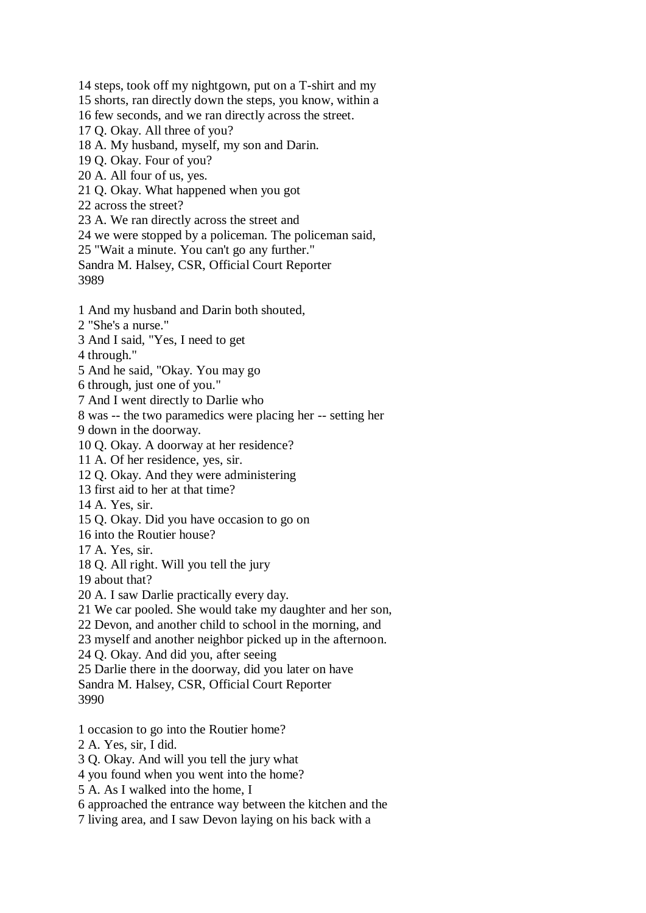14 steps, took off my nightgown, put on a T-shirt and my

15 shorts, ran directly down the steps, you know, within a

16 few seconds, and we ran directly across the street.

17 Q. Okay. All three of you?

18 A. My husband, myself, my son and Darin.

19 Q. Okay. Four of you?

20 A. All four of us, yes.

21 Q. Okay. What happened when you got

22 across the street?

23 A. We ran directly across the street and

24 we were stopped by a policeman. The policeman said,

25 "Wait a minute. You can't go any further."

Sandra M. Halsey, CSR, Official Court Reporter 3989

1 And my husband and Darin both shouted,

2 "She's a nurse."

3 And I said, "Yes, I need to get

4 through."

5 And he said, "Okay. You may go

6 through, just one of you."

7 And I went directly to Darlie who

8 was -- the two paramedics were placing her -- setting her

9 down in the doorway.

10 Q. Okay. A doorway at her residence?

11 A. Of her residence, yes, sir.

12 Q. Okay. And they were administering

13 first aid to her at that time?

14 A. Yes, sir.

15 Q. Okay. Did you have occasion to go on

16 into the Routier house?

17 A. Yes, sir.

18 Q. All right. Will you tell the jury

19 about that?

20 A. I saw Darlie practically every day.

21 We car pooled. She would take my daughter and her son,

22 Devon, and another child to school in the morning, and

23 myself and another neighbor picked up in the afternoon.

24 Q. Okay. And did you, after seeing

25 Darlie there in the doorway, did you later on have

Sandra M. Halsey, CSR, Official Court Reporter

3990

1 occasion to go into the Routier home?

2 A. Yes, sir, I did.

3 Q. Okay. And will you tell the jury what

4 you found when you went into the home?

5 A. As I walked into the home, I

6 approached the entrance way between the kitchen and the

7 living area, and I saw Devon laying on his back with a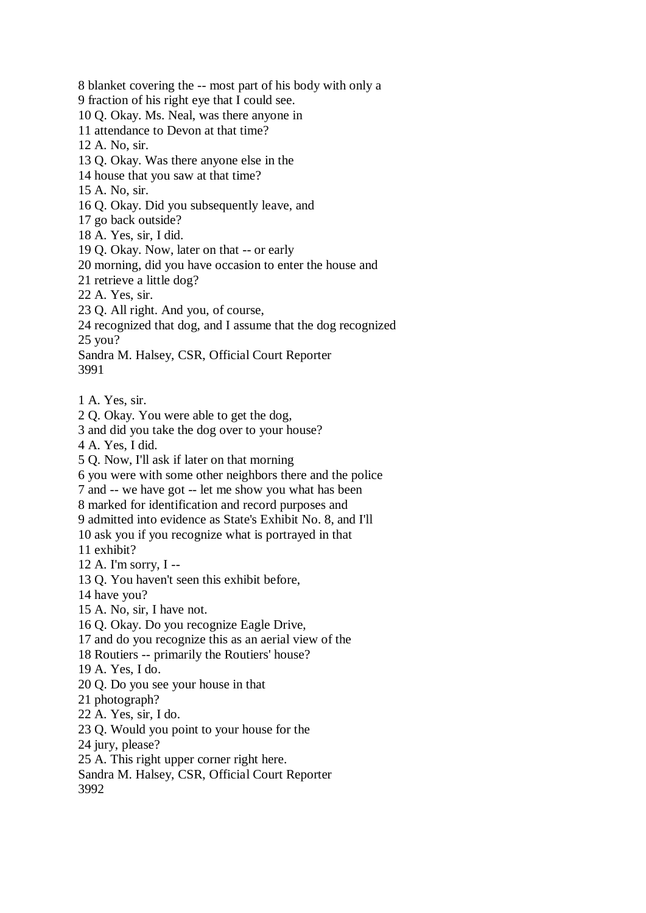8 blanket covering the -- most part of his body with only a 9 fraction of his right eye that I could see. 10 Q. Okay. Ms. Neal, was there anyone in 11 attendance to Devon at that time? 12 A. No, sir. 13 Q. Okay. Was there anyone else in the 14 house that you saw at that time? 15 A. No, sir. 16 Q. Okay. Did you subsequently leave, and 17 go back outside? 18 A. Yes, sir, I did. 19 Q. Okay. Now, later on that -- or early 20 morning, did you have occasion to enter the house and 21 retrieve a little dog? 22 A. Yes, sir. 23 Q. All right. And you, of course, 24 recognized that dog, and I assume that the dog recognized 25 you? Sandra M. Halsey, CSR, Official Court Reporter 3991 1 A. Yes, sir. 2 Q. Okay. You were able to get the dog, 3 and did you take the dog over to your house? 4 A. Yes, I did. 5 Q. Now, I'll ask if later on that morning 6 you were with some other neighbors there and the police 7 and -- we have got -- let me show you what has been 8 marked for identification and record purposes and 9 admitted into evidence as State's Exhibit No. 8, and I'll 10 ask you if you recognize what is portrayed in that 11 exhibit? 12 A. I'm sorry, I -- 13 Q. You haven't seen this exhibit before, 14 have you? 15 A. No, sir, I have not. 16 Q. Okay. Do you recognize Eagle Drive, 17 and do you recognize this as an aerial view of the 18 Routiers -- primarily the Routiers' house? 19 A. Yes, I do. 20 Q. Do you see your house in that 21 photograph? 22 A. Yes, sir, I do. 23 Q. Would you point to your house for the 24 jury, please? 25 A. This right upper corner right here. Sandra M. Halsey, CSR, Official Court Reporter 3992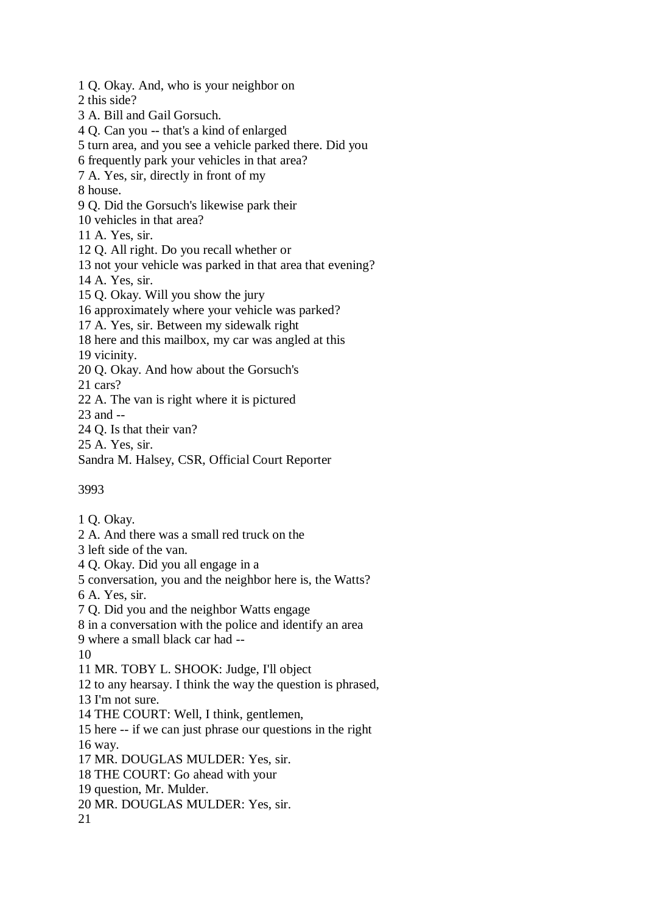1 Q. Okay. And, who is your neighbor on 2 this side? 3 A. Bill and Gail Gorsuch. 4 Q. Can you -- that's a kind of enlarged 5 turn area, and you see a vehicle parked there. Did you 6 frequently park your vehicles in that area? 7 A. Yes, sir, directly in front of my 8 house. 9 Q. Did the Gorsuch's likewise park their 10 vehicles in that area? 11 A. Yes, sir. 12 Q. All right. Do you recall whether or 13 not your vehicle was parked in that area that evening? 14 A. Yes, sir. 15 Q. Okay. Will you show the jury 16 approximately where your vehicle was parked? 17 A. Yes, sir. Between my sidewalk right 18 here and this mailbox, my car was angled at this 19 vicinity. 20 Q. Okay. And how about the Gorsuch's 21 cars? 22 A. The van is right where it is pictured 23 and -- 24 Q. Is that their van? 25 A. Yes, sir.

Sandra M. Halsey, CSR, Official Court Reporter

3993

1 Q. Okay.

2 A. And there was a small red truck on the

3 left side of the van.

4 Q. Okay. Did you all engage in a

5 conversation, you and the neighbor here is, the Watts?

6 A. Yes, sir.

7 Q. Did you and the neighbor Watts engage

8 in a conversation with the police and identify an area

9 where a small black car had --

10

11 MR. TOBY L. SHOOK: Judge, I'll object

12 to any hearsay. I think the way the question is phrased,

13 I'm not sure.

14 THE COURT: Well, I think, gentlemen,

15 here -- if we can just phrase our questions in the right 16 way.

17 MR. DOUGLAS MULDER: Yes, sir.

18 THE COURT: Go ahead with your

19 question, Mr. Mulder.

20 MR. DOUGLAS MULDER: Yes, sir.

21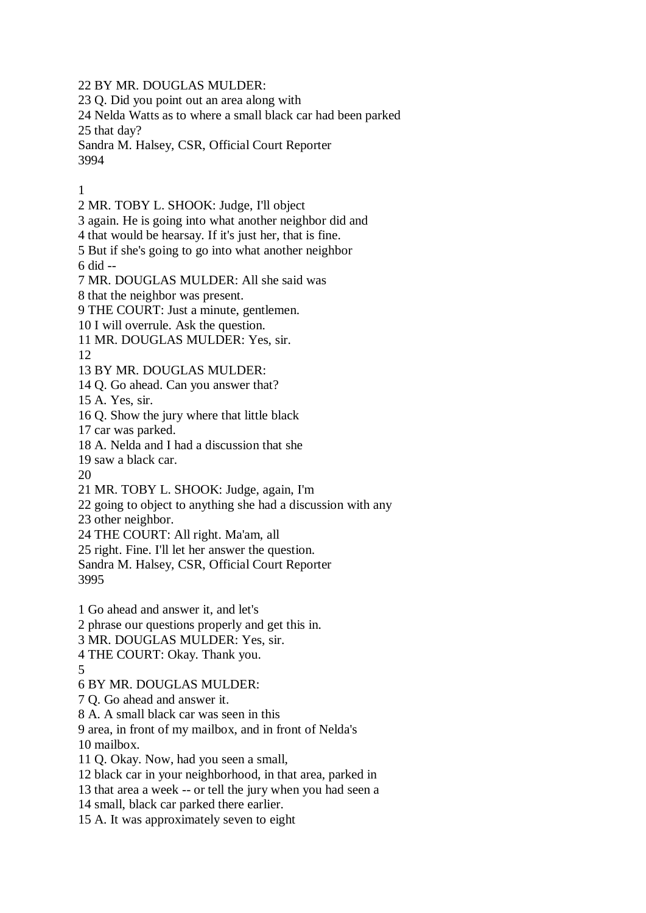22 BY MR. DOUGLAS MULDER:

23 Q. Did you point out an area along with

24 Nelda Watts as to where a small black car had been parked 25 that day?

Sandra M. Halsey, CSR, Official Court Reporter 3994

1

2 MR. TOBY L. SHOOK: Judge, I'll object

3 again. He is going into what another neighbor did and

4 that would be hearsay. If it's just her, that is fine.

5 But if she's going to go into what another neighbor 6 did --

7 MR. DOUGLAS MULDER: All she said was

8 that the neighbor was present.

9 THE COURT: Just a minute, gentlemen.

10 I will overrule. Ask the question.

11 MR. DOUGLAS MULDER: Yes, sir.

12

13 BY MR. DOUGLAS MULDER:

14 Q. Go ahead. Can you answer that?

15 A. Yes, sir.

16 Q. Show the jury where that little black

17 car was parked.

18 A. Nelda and I had a discussion that she

19 saw a black car.

20

21 MR. TOBY L. SHOOK: Judge, again, I'm

22 going to object to anything she had a discussion with any

23 other neighbor.

24 THE COURT: All right. Ma'am, all

25 right. Fine. I'll let her answer the question.

Sandra M. Halsey, CSR, Official Court Reporter

3995

1 Go ahead and answer it, and let's

2 phrase our questions properly and get this in.

3 MR. DOUGLAS MULDER: Yes, sir.

4 THE COURT: Okay. Thank you.

5

6 BY MR. DOUGLAS MULDER:

7 Q. Go ahead and answer it.

8 A. A small black car was seen in this

9 area, in front of my mailbox, and in front of Nelda's

10 mailbox.

11 Q. Okay. Now, had you seen a small,

12 black car in your neighborhood, in that area, parked in

13 that area a week -- or tell the jury when you had seen a

14 small, black car parked there earlier.

15 A. It was approximately seven to eight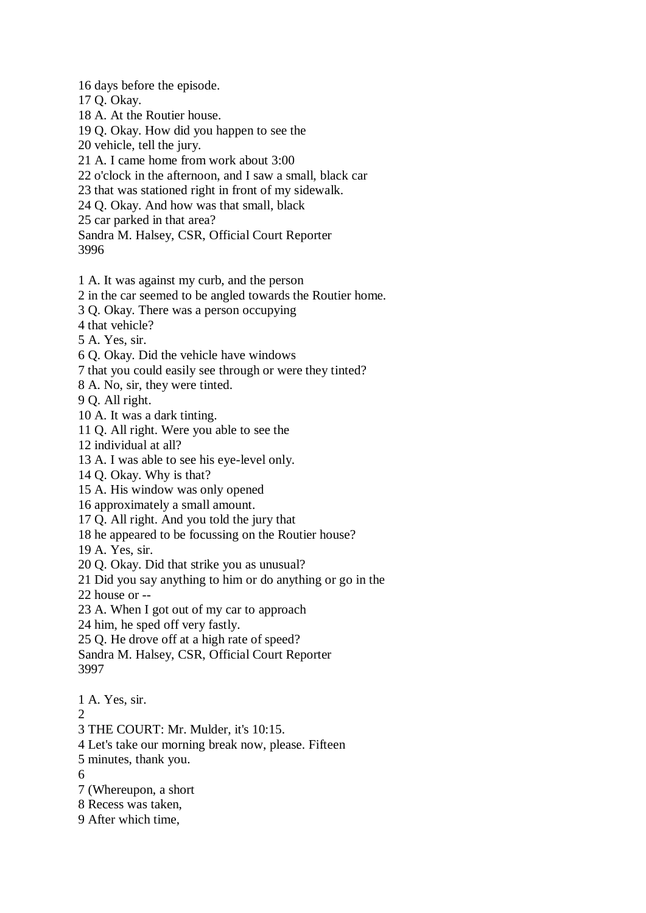16 days before the episode.

17 Q. Okay.

18 A. At the Routier house.

19 Q. Okay. How did you happen to see the

20 vehicle, tell the jury.

21 A. I came home from work about 3:00

22 o'clock in the afternoon, and I saw a small, black car

23 that was stationed right in front of my sidewalk.

24 Q. Okay. And how was that small, black

25 car parked in that area?

Sandra M. Halsey, CSR, Official Court Reporter 3996

1 A. It was against my curb, and the person

2 in the car seemed to be angled towards the Routier home.

3 Q. Okay. There was a person occupying

4 that vehicle?

5 A. Yes, sir.

6 Q. Okay. Did the vehicle have windows

7 that you could easily see through or were they tinted?

8 A. No, sir, they were tinted.

9 Q. All right.

10 A. It was a dark tinting.

11 Q. All right. Were you able to see the

12 individual at all?

13 A. I was able to see his eye-level only.

14 Q. Okay. Why is that?

15 A. His window was only opened

16 approximately a small amount.

17 Q. All right. And you told the jury that

18 he appeared to be focussing on the Routier house?

19 A. Yes, sir.

20 Q. Okay. Did that strike you as unusual?

21 Did you say anything to him or do anything or go in the

22 house or --

23 A. When I got out of my car to approach

24 him, he sped off very fastly.

25 Q. He drove off at a high rate of speed?

Sandra M. Halsey, CSR, Official Court Reporter 3997

1 A. Yes, sir.

 $\mathcal{D}_{\mathcal{L}}$ 

3 THE COURT: Mr. Mulder, it's 10:15.

4 Let's take our morning break now, please. Fifteen

5 minutes, thank you.

6

7 (Whereupon, a short

8 Recess was taken,

9 After which time,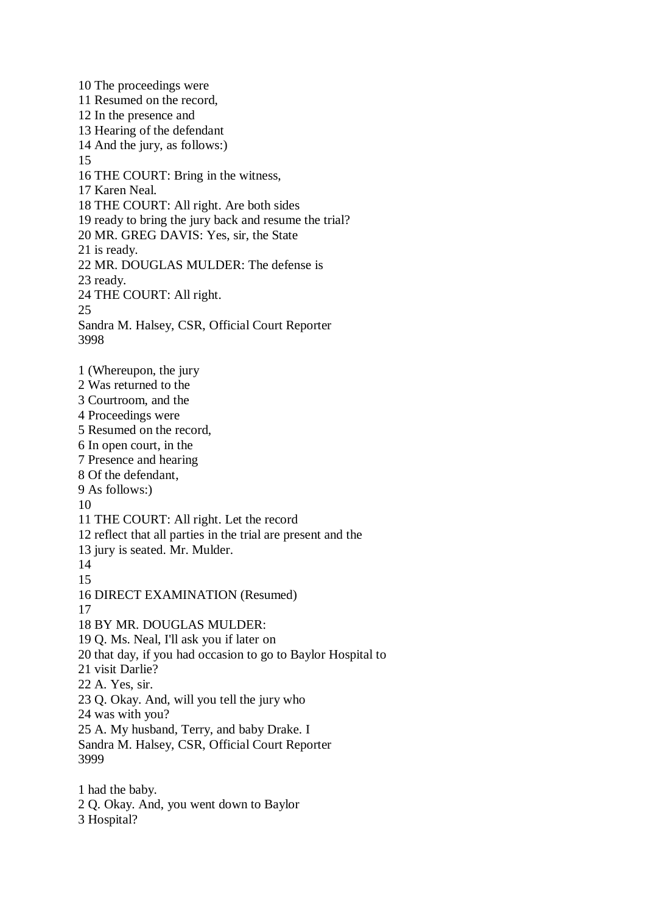10 The proceedings were 11 Resumed on the record, 12 In the presence and 13 Hearing of the defendant 14 And the jury, as follows:) 15 16 THE COURT: Bring in the witness, 17 Karen Neal. 18 THE COURT: All right. Are both sides 19 ready to bring the jury back and resume the trial? 20 MR. GREG DAVIS: Yes, sir, the State 21 is ready. 22 MR. DOUGLAS MULDER: The defense is 23 ready. 24 THE COURT: All right. 25 Sandra M. Halsey, CSR, Official Court Reporter 3998 1 (Whereupon, the jury 2 Was returned to the 3 Courtroom, and the 4 Proceedings were 5 Resumed on the record, 6 In open court, in the 7 Presence and hearing 8 Of the defendant, 9 As follows:) 10 11 THE COURT: All right. Let the record 12 reflect that all parties in the trial are present and the 13 jury is seated. Mr. Mulder. 14 15 16 DIRECT EXAMINATION (Resumed) 17 18 BY MR. DOUGLAS MULDER: 19 Q. Ms. Neal, I'll ask you if later on 20 that day, if you had occasion to go to Baylor Hospital to 21 visit Darlie? 22 A. Yes, sir. 23 Q. Okay. And, will you tell the jury who 24 was with you? 25 A. My husband, Terry, and baby Drake. I Sandra M. Halsey, CSR, Official Court Reporter 3999 1 had the baby. 2 Q. Okay. And, you went down to Baylor 3 Hospital?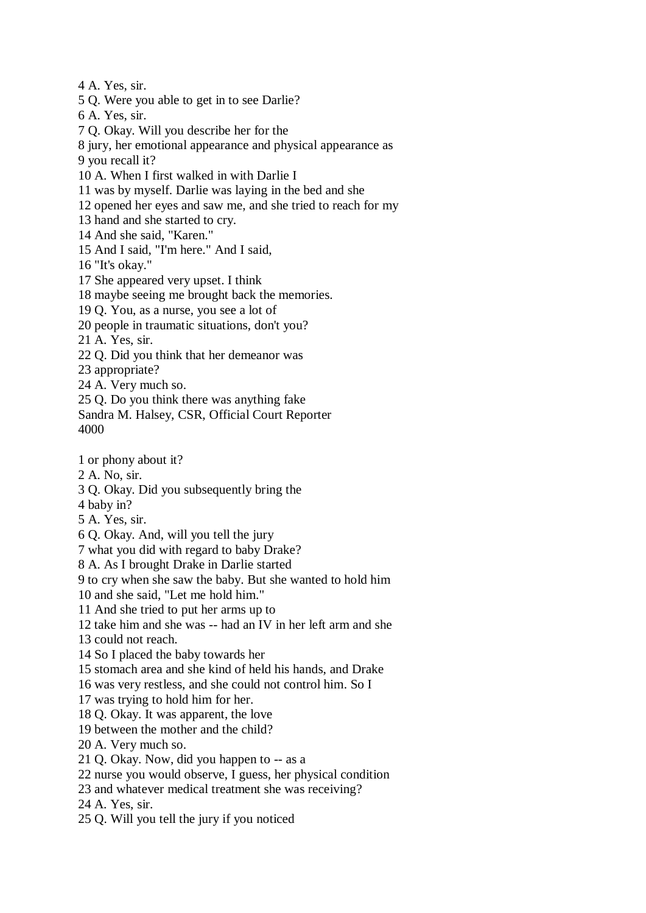4 A. Yes, sir. 5 Q. Were you able to get in to see Darlie? 6 A. Yes, sir. 7 Q. Okay. Will you describe her for the 8 jury, her emotional appearance and physical appearance as 9 you recall it? 10 A. When I first walked in with Darlie I 11 was by myself. Darlie was laying in the bed and she 12 opened her eyes and saw me, and she tried to reach for my 13 hand and she started to cry. 14 And she said, "Karen." 15 And I said, "I'm here." And I said, 16 "It's okay." 17 She appeared very upset. I think 18 maybe seeing me brought back the memories. 19 Q. You, as a nurse, you see a lot of 20 people in traumatic situations, don't you? 21 A. Yes, sir. 22 Q. Did you think that her demeanor was 23 appropriate? 24 A. Very much so. 25 Q. Do you think there was anything fake Sandra M. Halsey, CSR, Official Court Reporter 4000 1 or phony about it? 2 A. No, sir. 3 Q. Okay. Did you subsequently bring the 4 baby in? 5 A. Yes, sir. 6 Q. Okay. And, will you tell the jury 7 what you did with regard to baby Drake? 8 A. As I brought Drake in Darlie started 9 to cry when she saw the baby. But she wanted to hold him 10 and she said, "Let me hold him." 11 And she tried to put her arms up to 12 take him and she was -- had an IV in her left arm and she 13 could not reach. 14 So I placed the baby towards her 15 stomach area and she kind of held his hands, and Drake 16 was very restless, and she could not control him. So I 17 was trying to hold him for her. 18 Q. Okay. It was apparent, the love 19 between the mother and the child? 20 A. Very much so. 21 Q. Okay. Now, did you happen to -- as a 22 nurse you would observe, I guess, her physical condition 23 and whatever medical treatment she was receiving? 24 A. Yes, sir. 25 Q. Will you tell the jury if you noticed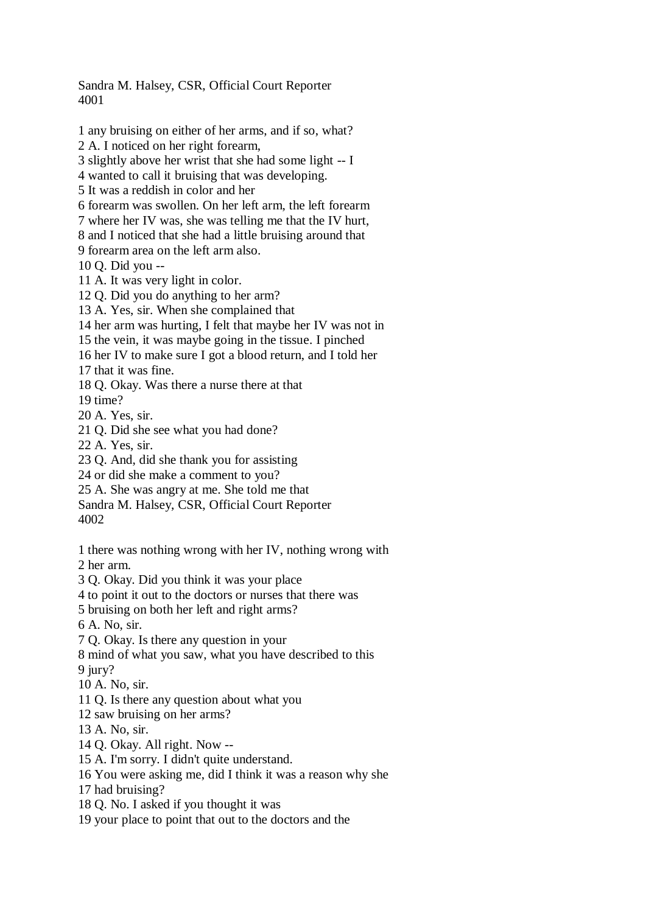Sandra M. Halsey, CSR, Official Court Reporter 4001

1 any bruising on either of her arms, and if so, what? 2 A. I noticed on her right forearm, 3 slightly above her wrist that she had some light -- I 4 wanted to call it bruising that was developing. 5 It was a reddish in color and her 6 forearm was swollen. On her left arm, the left forearm 7 where her IV was, she was telling me that the IV hurt, 8 and I noticed that she had a little bruising around that 9 forearm area on the left arm also. 10 Q. Did you -- 11 A. It was very light in color. 12 Q. Did you do anything to her arm? 13 A. Yes, sir. When she complained that 14 her arm was hurting, I felt that maybe her IV was not in 15 the vein, it was maybe going in the tissue. I pinched 16 her IV to make sure I got a blood return, and I told her 17 that it was fine. 18 Q. Okay. Was there a nurse there at that 19 time? 20 A. Yes, sir. 21 Q. Did she see what you had done? 22 A. Yes, sir. 23 Q. And, did she thank you for assisting 24 or did she make a comment to you? 25 A. She was angry at me. She told me that Sandra M. Halsey, CSR, Official Court Reporter 4002 1 there was nothing wrong with her IV, nothing wrong with 2 her arm. 3 Q. Okay. Did you think it was your place 4 to point it out to the doctors or nurses that there was 5 bruising on both her left and right arms? 6 A. No, sir. 7 Q. Okay. Is there any question in your 8 mind of what you saw, what you have described to this 9 jury? 10 A. No, sir. 11 Q. Is there any question about what you 12 saw bruising on her arms? 13 A. No, sir. 14 Q. Okay. All right. Now -- 15 A. I'm sorry. I didn't quite understand. 16 You were asking me, did I think it was a reason why she 17 had bruising? 18 Q. No. I asked if you thought it was

19 your place to point that out to the doctors and the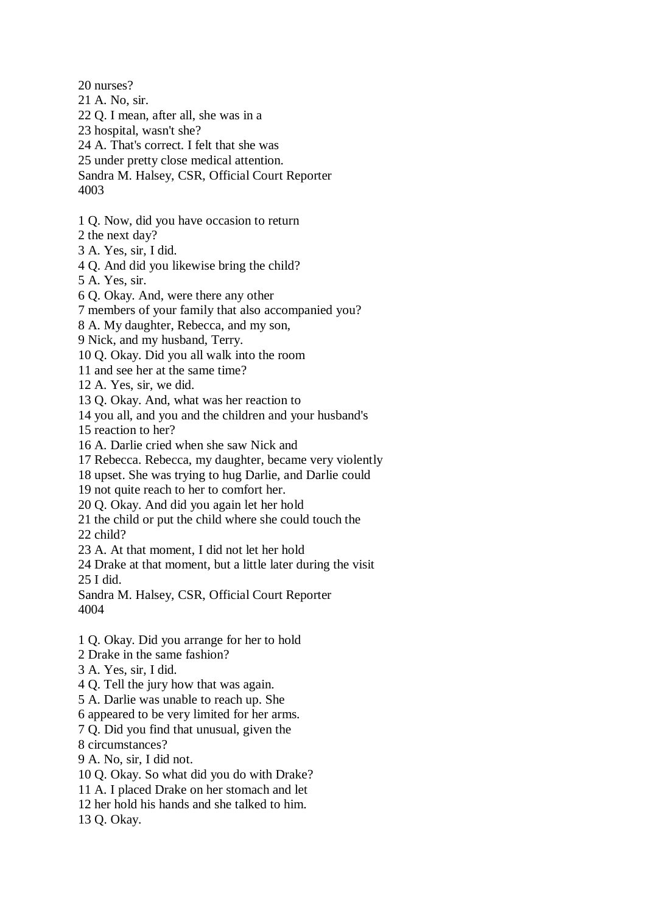20 nurses? 21 A. No, sir. 22 Q. I mean, after all, she was in a 23 hospital, wasn't she? 24 A. That's correct. I felt that she was 25 under pretty close medical attention. Sandra M. Halsey, CSR, Official Court Reporter 4003 1 Q. Now, did you have occasion to return 2 the next day? 3 A. Yes, sir, I did. 4 Q. And did you likewise bring the child? 5 A. Yes, sir. 6 Q. Okay. And, were there any other 7 members of your family that also accompanied you? 8 A. My daughter, Rebecca, and my son, 9 Nick, and my husband, Terry. 10 Q. Okay. Did you all walk into the room 11 and see her at the same time? 12 A. Yes, sir, we did. 13 Q. Okay. And, what was her reaction to 14 you all, and you and the children and your husband's 15 reaction to her? 16 A. Darlie cried when she saw Nick and 17 Rebecca. Rebecca, my daughter, became very violently 18 upset. She was trying to hug Darlie, and Darlie could 19 not quite reach to her to comfort her. 20 Q. Okay. And did you again let her hold 21 the child or put the child where she could touch the 22 child? 23 A. At that moment, I did not let her hold 24 Drake at that moment, but a little later during the visit 25 I did. Sandra M. Halsey, CSR, Official Court Reporter 4004 1 Q. Okay. Did you arrange for her to hold

2 Drake in the same fashion?

- 3 A. Yes, sir, I did.
- 4 Q. Tell the jury how that was again.
- 5 A. Darlie was unable to reach up. She

6 appeared to be very limited for her arms.

7 Q. Did you find that unusual, given the

8 circumstances?

9 A. No, sir, I did not.

10 Q. Okay. So what did you do with Drake?

11 A. I placed Drake on her stomach and let

12 her hold his hands and she talked to him.

13 Q. Okay.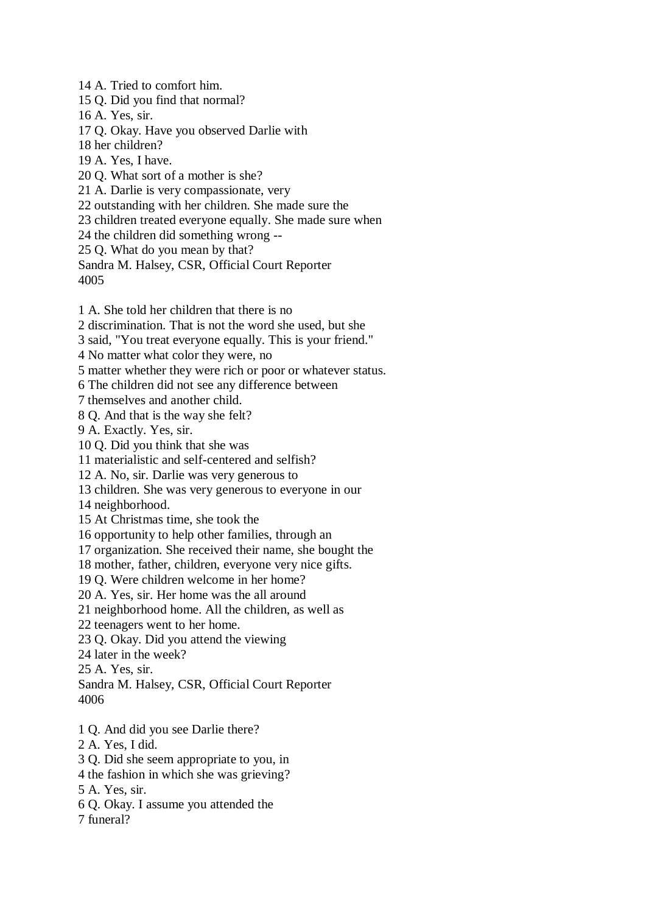14 A. Tried to comfort him. 15 Q. Did you find that normal? 16 A. Yes, sir. 17 Q. Okay. Have you observed Darlie with 18 her children? 19 A. Yes, I have. 20 Q. What sort of a mother is she? 21 A. Darlie is very compassionate, very 22 outstanding with her children. She made sure the 23 children treated everyone equally. She made sure when 24 the children did something wrong -- 25 Q. What do you mean by that? Sandra M. Halsey, CSR, Official Court Reporter

4005

1 A. She told her children that there is no

2 discrimination. That is not the word she used, but she

3 said, "You treat everyone equally. This is your friend."

4 No matter what color they were, no

5 matter whether they were rich or poor or whatever status.

6 The children did not see any difference between

7 themselves and another child.

8 Q. And that is the way she felt?

9 A. Exactly. Yes, sir.

10 Q. Did you think that she was

11 materialistic and self-centered and selfish?

12 A. No, sir. Darlie was very generous to

13 children. She was very generous to everyone in our

14 neighborhood.

15 At Christmas time, she took the

16 opportunity to help other families, through an

17 organization. She received their name, she bought the

18 mother, father, children, everyone very nice gifts.

19 Q. Were children welcome in her home?

20 A. Yes, sir. Her home was the all around

21 neighborhood home. All the children, as well as

22 teenagers went to her home.

23 Q. Okay. Did you attend the viewing

24 later in the week?

25 A. Yes, sir.

Sandra M. Halsey, CSR, Official Court Reporter 4006

1 Q. And did you see Darlie there?

- 2 A. Yes, I did.
- 3 Q. Did she seem appropriate to you, in
- 4 the fashion in which she was grieving?
- 5 A. Yes, sir.
- 6 Q. Okay. I assume you attended the

7 funeral?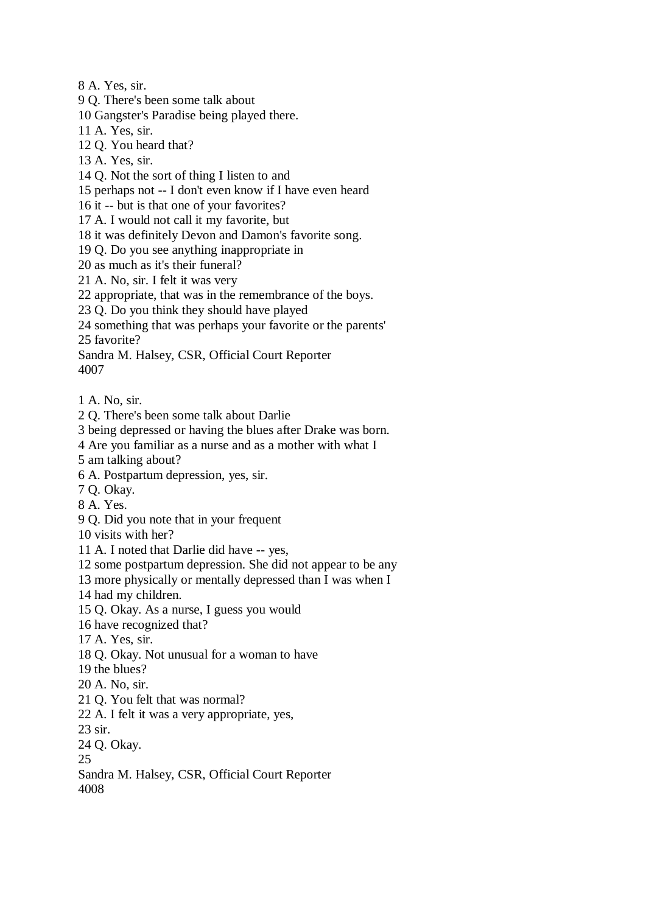8 A. Yes, sir.

9 Q. There's been some talk about

10 Gangster's Paradise being played there.

11 A. Yes, sir.

12 Q. You heard that?

13 A. Yes, sir.

14 Q. Not the sort of thing I listen to and

15 perhaps not -- I don't even know if I have even heard

16 it -- but is that one of your favorites?

17 A. I would not call it my favorite, but

18 it was definitely Devon and Damon's favorite song.

19 Q. Do you see anything inappropriate in

20 as much as it's their funeral?

21 A. No, sir. I felt it was very

22 appropriate, that was in the remembrance of the boys.

23 Q. Do you think they should have played

24 something that was perhaps your favorite or the parents' 25 favorite?

Sandra M. Halsey, CSR, Official Court Reporter 4007

1 A. No, sir.

2 Q. There's been some talk about Darlie

3 being depressed or having the blues after Drake was born.

4 Are you familiar as a nurse and as a mother with what I

5 am talking about?

6 A. Postpartum depression, yes, sir.

7 Q. Okay.

8 A. Yes.

9 Q. Did you note that in your frequent

10 visits with her?

11 A. I noted that Darlie did have -- yes,

12 some postpartum depression. She did not appear to be any

13 more physically or mentally depressed than I was when I

14 had my children.

15 Q. Okay. As a nurse, I guess you would

16 have recognized that?

17 A. Yes, sir.

18 Q. Okay. Not unusual for a woman to have

19 the blues?

20 A. No, sir.

21 Q. You felt that was normal?

22 A. I felt it was a very appropriate, yes,

23 sir.

24 Q. Okay.

25

Sandra M. Halsey, CSR, Official Court Reporter 4008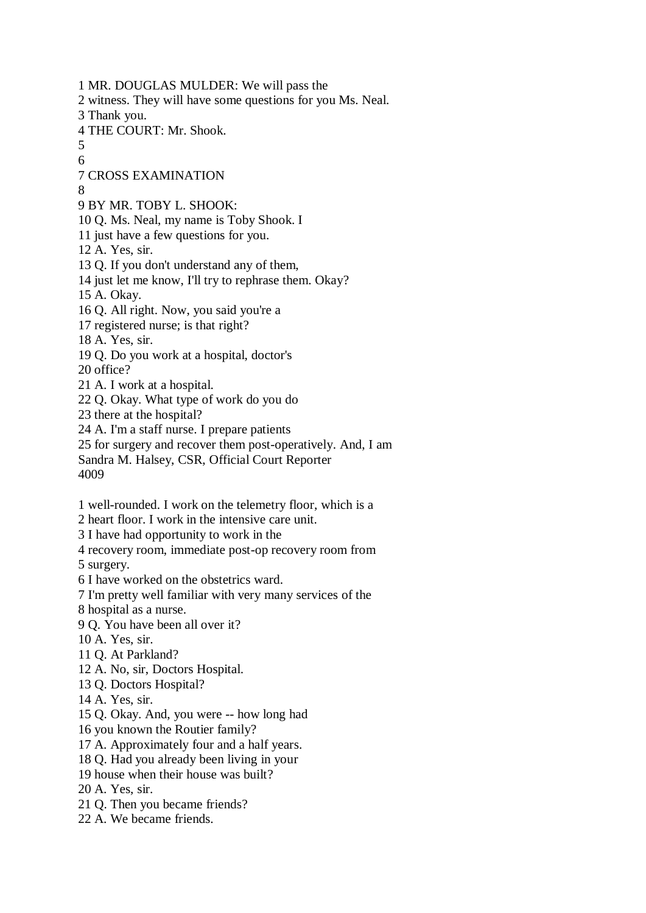1 MR. DOUGLAS MULDER: We will pass the 2 witness. They will have some questions for you Ms. Neal. 3 Thank you. 4 THE COURT: Mr. Shook. 5 6 7 CROSS EXAMINATION 8 9 BY MR. TOBY L. SHOOK: 10 Q. Ms. Neal, my name is Toby Shook. I 11 just have a few questions for you. 12 A. Yes, sir. 13 Q. If you don't understand any of them, 14 just let me know, I'll try to rephrase them. Okay? 15 A. Okay. 16 Q. All right. Now, you said you're a 17 registered nurse; is that right? 18 A. Yes, sir. 19 Q. Do you work at a hospital, doctor's 20 office? 21 A. I work at a hospital. 22 Q. Okay. What type of work do you do 23 there at the hospital? 24 A. I'm a staff nurse. I prepare patients 25 for surgery and recover them post-operatively. And, I am Sandra M. Halsey, CSR, Official Court Reporter 4009 1 well-rounded. I work on the telemetry floor, which is a 2 heart floor. I work in the intensive care unit. 3 I have had opportunity to work in the 4 recovery room, immediate post-op recovery room from 5 surgery. 6 I have worked on the obstetrics ward. 7 I'm pretty well familiar with very many services of the 8 hospital as a nurse. 9 Q. You have been all over it? 10 A. Yes, sir. 11 Q. At Parkland? 12 A. No, sir, Doctors Hospital. 13 Q. Doctors Hospital? 14 A. Yes, sir. 15 Q. Okay. And, you were -- how long had 16 you known the Routier family? 17 A. Approximately four and a half years. 18 Q. Had you already been living in your 19 house when their house was built? 20 A. Yes, sir. 21 Q. Then you became friends? 22 A. We became friends.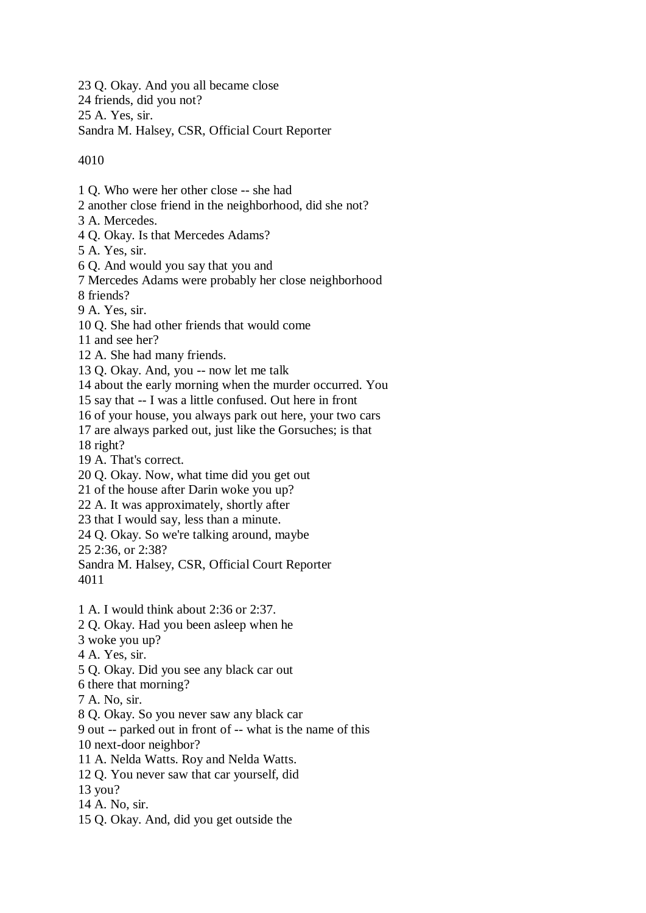23 Q. Okay. And you all became close 24 friends, did you not? 25 A. Yes, sir. Sandra M. Halsey, CSR, Official Court Reporter

4010

1 Q. Who were her other close -- she had 2 another close friend in the neighborhood, did she not? 3 A. Mercedes. 4 Q. Okay. Is that Mercedes Adams? 5 A. Yes, sir. 6 Q. And would you say that you and 7 Mercedes Adams were probably her close neighborhood 8 friends? 9 A. Yes, sir. 10 Q. She had other friends that would come 11 and see her? 12 A. She had many friends. 13 Q. Okay. And, you -- now let me talk 14 about the early morning when the murder occurred. You 15 say that -- I was a little confused. Out here in front 16 of your house, you always park out here, your two cars 17 are always parked out, just like the Gorsuches; is that 18 right? 19 A. That's correct. 20 Q. Okay. Now, what time did you get out 21 of the house after Darin woke you up? 22 A. It was approximately, shortly after 23 that I would say, less than a minute. 24 Q. Okay. So we're talking around, maybe 25 2:36, or 2:38? Sandra M. Halsey, CSR, Official Court Reporter 4011 1 A. I would think about 2:36 or 2:37. 2 Q. Okay. Had you been asleep when he 3 woke you up? 4 A. Yes, sir. 5 Q. Okay. Did you see any black car out 6 there that morning? 7 A. No, sir. 8 Q. Okay. So you never saw any black car 9 out -- parked out in front of -- what is the name of this 10 next-door neighbor? 11 A. Nelda Watts. Roy and Nelda Watts. 12 Q. You never saw that car yourself, did 13 you? 14 A. No, sir.

15 Q. Okay. And, did you get outside the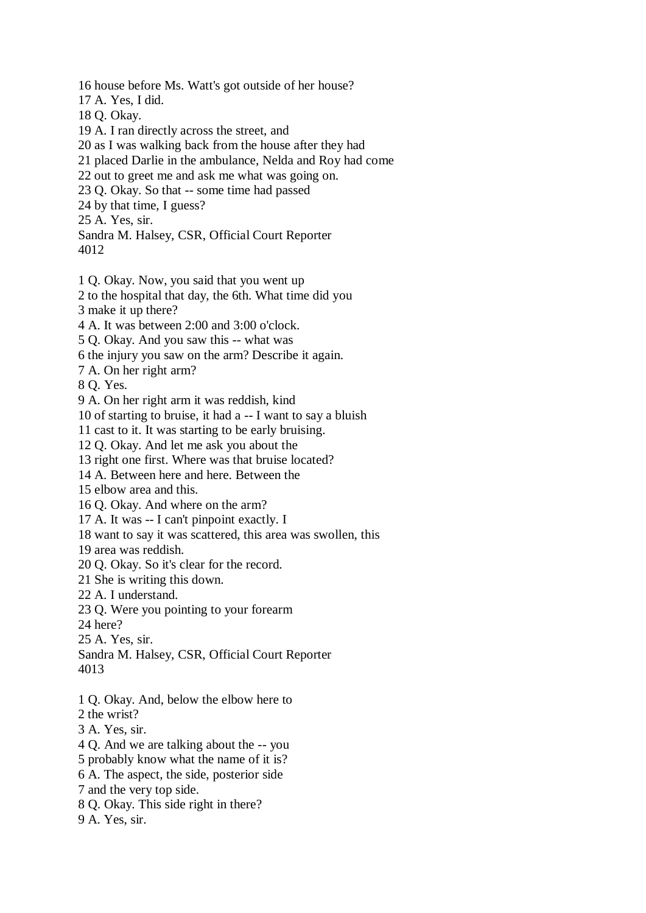16 house before Ms. Watt's got outside of her house?

17 A. Yes, I did.

18 Q. Okay.

19 A. I ran directly across the street, and

20 as I was walking back from the house after they had

21 placed Darlie in the ambulance, Nelda and Roy had come

22 out to greet me and ask me what was going on.

23 Q. Okay. So that -- some time had passed

24 by that time, I guess?

25 A. Yes, sir.

Sandra M. Halsey, CSR, Official Court Reporter 4012

1 Q. Okay. Now, you said that you went up

2 to the hospital that day, the 6th. What time did you

3 make it up there?

4 A. It was between 2:00 and 3:00 o'clock.

5 Q. Okay. And you saw this -- what was

6 the injury you saw on the arm? Describe it again.

7 A. On her right arm?

8 Q. Yes.

9 A. On her right arm it was reddish, kind

10 of starting to bruise, it had a -- I want to say a bluish

11 cast to it. It was starting to be early bruising.

12 Q. Okay. And let me ask you about the

13 right one first. Where was that bruise located?

14 A. Between here and here. Between the

15 elbow area and this.

16 Q. Okay. And where on the arm?

17 A. It was -- I can't pinpoint exactly. I

18 want to say it was scattered, this area was swollen, this

19 area was reddish.

20 Q. Okay. So it's clear for the record.

21 She is writing this down.

22 A. I understand.

23 Q. Were you pointing to your forearm

24 here?

25 A. Yes, sir.

Sandra M. Halsey, CSR, Official Court Reporter 4013

1 Q. Okay. And, below the elbow here to

2 the wrist?

3 A. Yes, sir.

4 Q. And we are talking about the -- you

5 probably know what the name of it is?

6 A. The aspect, the side, posterior side

7 and the very top side.

8 Q. Okay. This side right in there?

9 A. Yes, sir.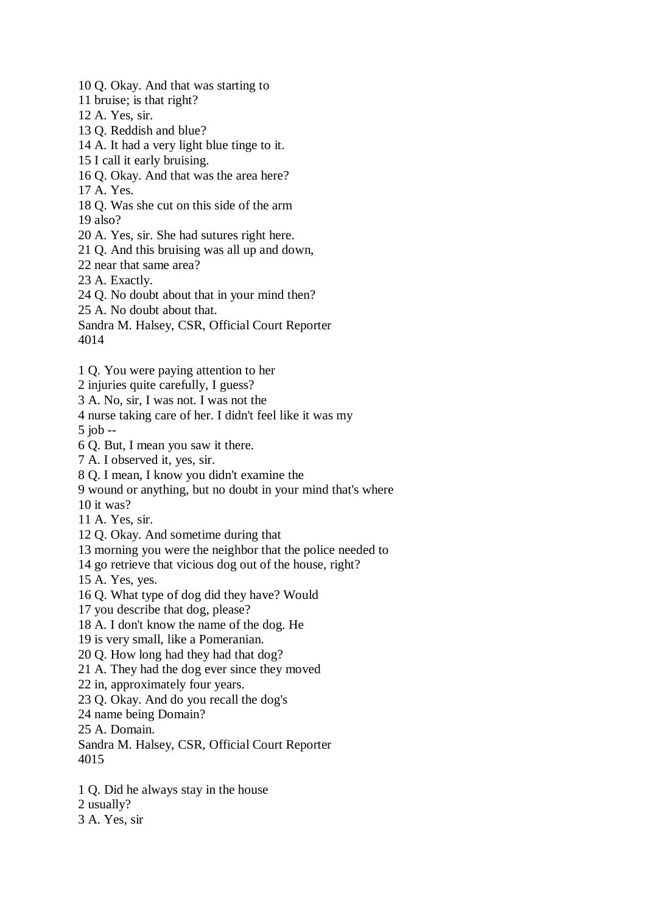10 Q. Okay. And that was starting to

11 bruise; is that right?

12 A. Yes, sir.

13 Q. Reddish and blue?

14 A. It had a very light blue tinge to it.

15 I call it early bruising.

16 Q. Okay. And that was the area here?

17 A. Yes.

18 Q. Was she cut on this side of the arm

19 also?

20 A. Yes, sir. She had sutures right here.

21 Q. And this bruising was all up and down,

22 near that same area?

23 A. Exactly.

24 Q. No doubt about that in your mind then?

25 A. No doubt about that.

Sandra M. Halsey, CSR, Official Court Reporter 4014

1 Q. You were paying attention to her

2 injuries quite carefully, I guess?

3 A. No, sir, I was not. I was not the

4 nurse taking care of her. I didn't feel like it was my

5 job --

6 Q. But, I mean you saw it there.

7 A. I observed it, yes, sir.

8 Q. I mean, I know you didn't examine the

9 wound or anything, but no doubt in your mind that's where

10 it was?

11 A. Yes, sir.

12 Q. Okay. And sometime during that

13 morning you were the neighbor that the police needed to

14 go retrieve that vicious dog out of the house, right?

15 A. Yes, yes.

16 Q. What type of dog did they have? Would

17 you describe that dog, please?

18 A. I don't know the name of the dog. He

19 is very small, like a Pomeranian.

20 Q. How long had they had that dog?

21 A. They had the dog ever since they moved

22 in, approximately four years.

23 Q. Okay. And do you recall the dog's

24 name being Domain?

25 A. Domain.

Sandra M. Halsey, CSR, Official Court Reporter 4015

1 Q. Did he always stay in the house

2 usually?

3 A. Yes, sir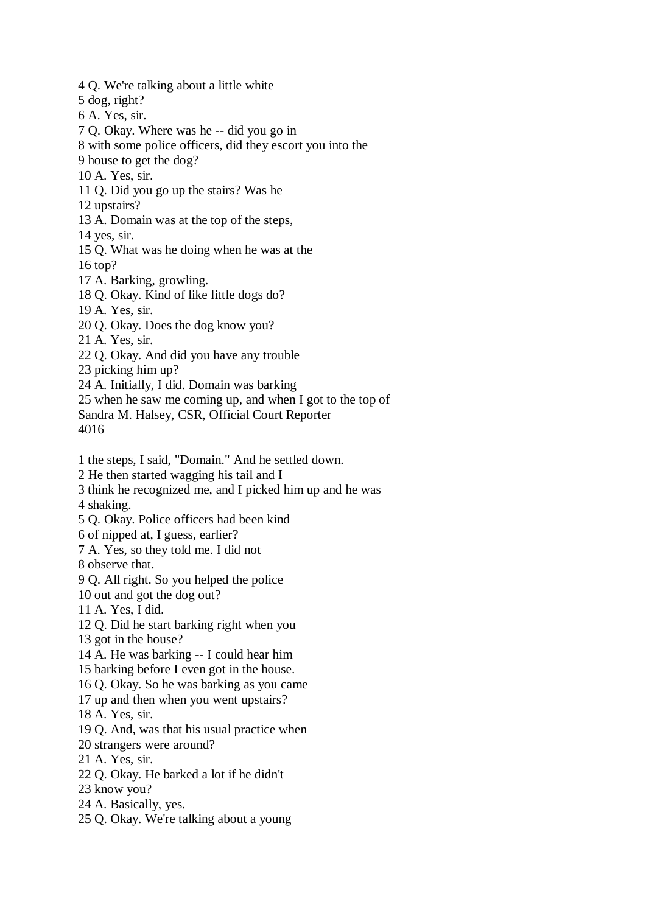4 Q. We're talking about a little white 5 dog, right? 6 A. Yes, sir. 7 Q. Okay. Where was he -- did you go in 8 with some police officers, did they escort you into the 9 house to get the dog? 10 A. Yes, sir. 11 Q. Did you go up the stairs? Was he 12 upstairs? 13 A. Domain was at the top of the steps, 14 yes, sir. 15 Q. What was he doing when he was at the 16 top? 17 A. Barking, growling. 18 Q. Okay. Kind of like little dogs do? 19 A. Yes, sir. 20 Q. Okay. Does the dog know you? 21 A. Yes, sir. 22 Q. Okay. And did you have any trouble 23 picking him up? 24 A. Initially, I did. Domain was barking 25 when he saw me coming up, and when I got to the top of Sandra M. Halsey, CSR, Official Court Reporter 4016 1 the steps, I said, "Domain." And he settled down. 2 He then started wagging his tail and I 3 think he recognized me, and I picked him up and he was 4 shaking. 5 Q. Okay. Police officers had been kind 6 of nipped at, I guess, earlier? 7 A. Yes, so they told me. I did not 8 observe that. 9 Q. All right. So you helped the police 10 out and got the dog out? 11 A. Yes, I did. 12 Q. Did he start barking right when you 13 got in the house? 14 A. He was barking -- I could hear him 15 barking before I even got in the house. 16 Q. Okay. So he was barking as you came 17 up and then when you went upstairs? 18 A. Yes, sir. 19 Q. And, was that his usual practice when 20 strangers were around? 21 A. Yes, sir. 22 Q. Okay. He barked a lot if he didn't 23 know you? 24 A. Basically, yes. 25 Q. Okay. We're talking about a young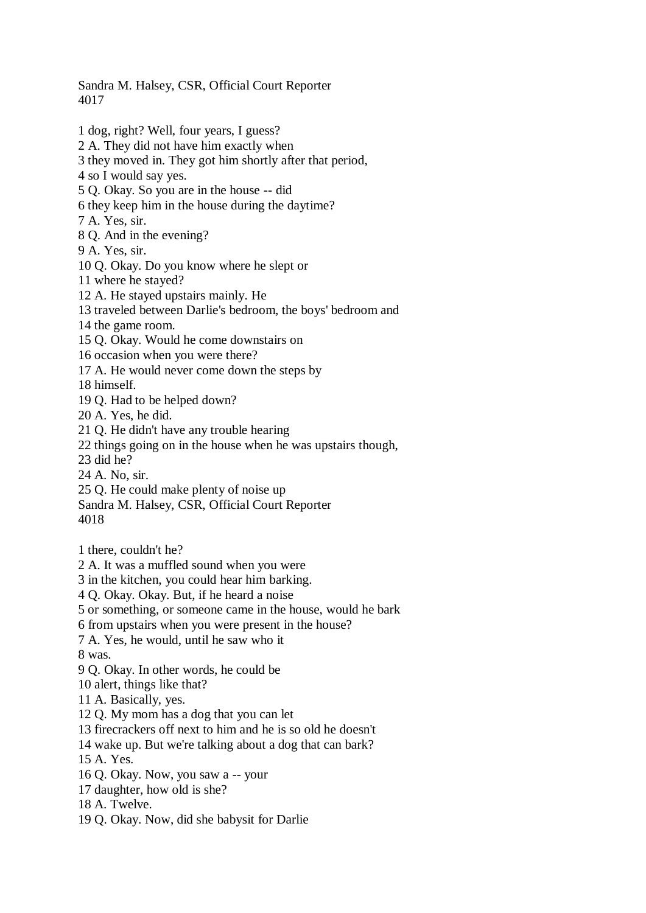Sandra M. Halsey, CSR, Official Court Reporter 4017

1 dog, right? Well, four years, I guess? 2 A. They did not have him exactly when 3 they moved in. They got him shortly after that period, 4 so I would say yes. 5 Q. Okay. So you are in the house -- did 6 they keep him in the house during the daytime? 7 A. Yes, sir. 8 Q. And in the evening? 9 A. Yes, sir. 10 Q. Okay. Do you know where he slept or 11 where he stayed? 12 A. He stayed upstairs mainly. He 13 traveled between Darlie's bedroom, the boys' bedroom and 14 the game room. 15 Q. Okay. Would he come downstairs on 16 occasion when you were there? 17 A. He would never come down the steps by 18 himself. 19 Q. Had to be helped down? 20 A. Yes, he did. 21 Q. He didn't have any trouble hearing 22 things going on in the house when he was upstairs though, 23 did he? 24 A. No, sir. 25 Q. He could make plenty of noise up Sandra M. Halsey, CSR, Official Court Reporter 4018 1 there, couldn't he? 2 A. It was a muffled sound when you were 3 in the kitchen, you could hear him barking. 4 Q. Okay. Okay. But, if he heard a noise 5 or something, or someone came in the house, would he bark 6 from upstairs when you were present in the house? 7 A. Yes, he would, until he saw who it 8 was. 9 Q. Okay. In other words, he could be 10 alert, things like that?

- 11 A. Basically, yes.
- 12 Q. My mom has a dog that you can let
- 13 firecrackers off next to him and he is so old he doesn't
- 14 wake up. But we're talking about a dog that can bark?
- 15 A. Yes.
- 16 Q. Okay. Now, you saw a -- your
- 17 daughter, how old is she?
- 18 A. Twelve.
- 19 Q. Okay. Now, did she babysit for Darlie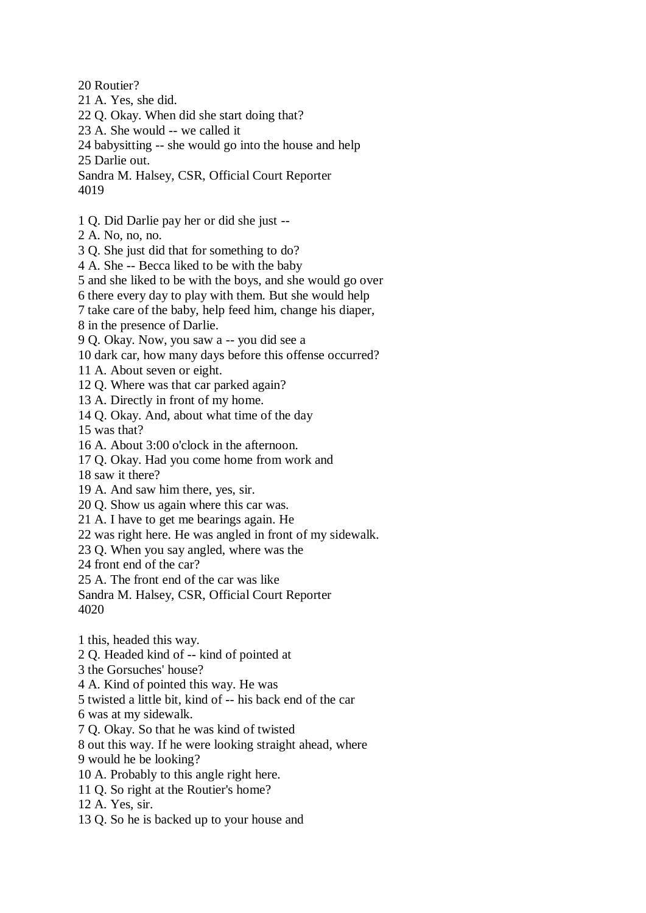20 Routier?

- 21 A. Yes, she did.
- 22 Q. Okay. When did she start doing that?
- 23 A. She would -- we called it
- 24 babysitting -- she would go into the house and help
- 25 Darlie out.
- Sandra M. Halsey, CSR, Official Court Reporter 4019
- 1 Q. Did Darlie pay her or did she just --
- 2 A. No, no, no.
- 3 Q. She just did that for something to do?
- 4 A. She -- Becca liked to be with the baby
- 5 and she liked to be with the boys, and she would go over
- 6 there every day to play with them. But she would help
- 7 take care of the baby, help feed him, change his diaper,
- 8 in the presence of Darlie.
- 9 Q. Okay. Now, you saw a -- you did see a
- 10 dark car, how many days before this offense occurred?
- 11 A. About seven or eight.
- 12 Q. Where was that car parked again?
- 13 A. Directly in front of my home.
- 14 Q. Okay. And, about what time of the day
- 15 was that?
- 16 A. About 3:00 o'clock in the afternoon.
- 17 Q. Okay. Had you come home from work and
- 18 saw it there?
- 19 A. And saw him there, yes, sir.
- 20 Q. Show us again where this car was.
- 21 A. I have to get me bearings again. He
- 22 was right here. He was angled in front of my sidewalk.
- 23 Q. When you say angled, where was the
- 24 front end of the car?
- 25 A. The front end of the car was like
- Sandra M. Halsey, CSR, Official Court Reporter 4020
- 1 this, headed this way.
- 2 Q. Headed kind of -- kind of pointed at
- 3 the Gorsuches' house?
- 4 A. Kind of pointed this way. He was
- 5 twisted a little bit, kind of -- his back end of the car
- 6 was at my sidewalk.
- 7 Q. Okay. So that he was kind of twisted
- 8 out this way. If he were looking straight ahead, where
- 9 would he be looking?
- 10 A. Probably to this angle right here.
- 11 Q. So right at the Routier's home?
- 12 A. Yes, sir.
- 13 Q. So he is backed up to your house and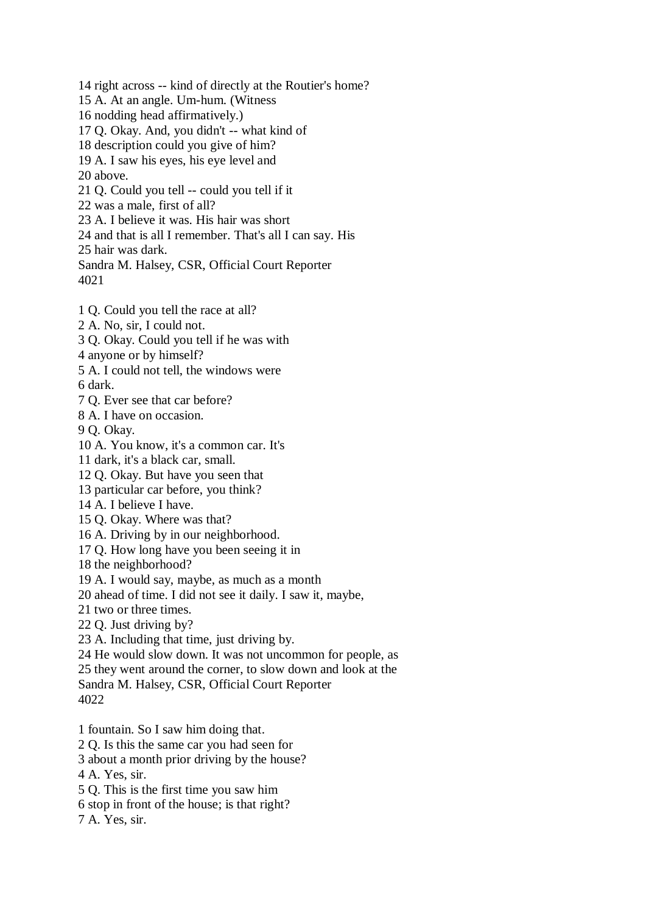14 right across -- kind of directly at the Routier's home? 15 A. At an angle. Um-hum. (Witness 16 nodding head affirmatively.) 17 Q. Okay. And, you didn't -- what kind of 18 description could you give of him? 19 A. I saw his eyes, his eye level and 20 above. 21 Q. Could you tell -- could you tell if it 22 was a male, first of all? 23 A. I believe it was. His hair was short 24 and that is all I remember. That's all I can say. His 25 hair was dark. Sandra M. Halsey, CSR, Official Court Reporter 4021

1 Q. Could you tell the race at all?

2 A. No, sir, I could not.

3 Q. Okay. Could you tell if he was with

4 anyone or by himself?

5 A. I could not tell, the windows were

6 dark.

7 Q. Ever see that car before?

8 A. I have on occasion.

9 Q. Okay.

10 A. You know, it's a common car. It's

11 dark, it's a black car, small.

12 Q. Okay. But have you seen that

13 particular car before, you think?

14 A. I believe I have.

15 Q. Okay. Where was that?

16 A. Driving by in our neighborhood.

17 Q. How long have you been seeing it in

18 the neighborhood?

19 A. I would say, maybe, as much as a month

20 ahead of time. I did not see it daily. I saw it, maybe,

21 two or three times.

22 Q. Just driving by?

23 A. Including that time, just driving by.

24 He would slow down. It was not uncommon for people, as

25 they went around the corner, to slow down and look at the

Sandra M. Halsey, CSR, Official Court Reporter

4022

1 fountain. So I saw him doing that.

2 Q. Is this the same car you had seen for

3 about a month prior driving by the house?

4 A. Yes, sir.

5 Q. This is the first time you saw him

6 stop in front of the house; is that right?

7 A. Yes, sir.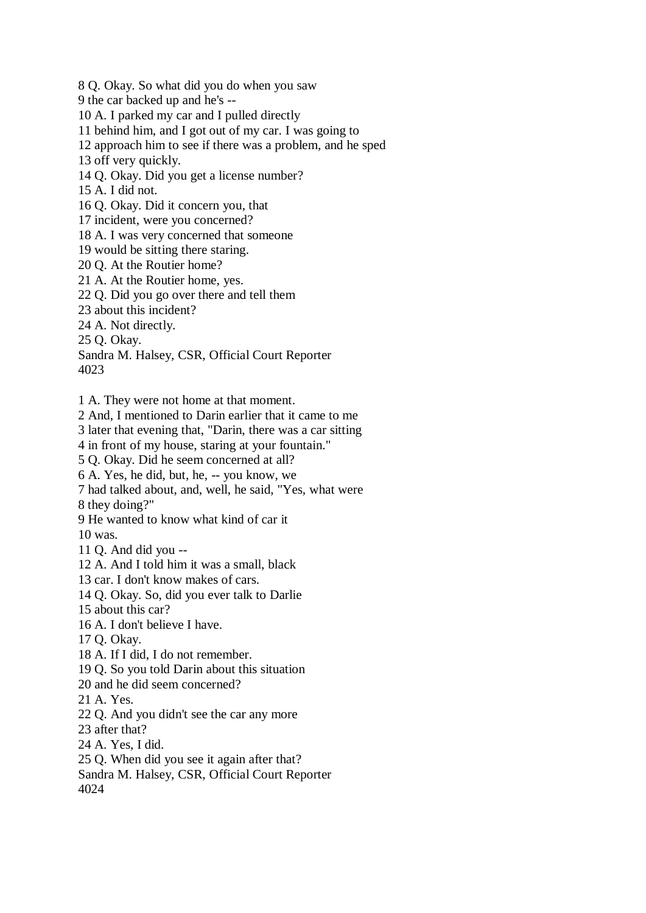8 Q. Okay. So what did you do when you saw 9 the car backed up and he's -- 10 A. I parked my car and I pulled directly 11 behind him, and I got out of my car. I was going to 12 approach him to see if there was a problem, and he sped 13 off very quickly.

14 Q. Okay. Did you get a license number?

15 A. I did not.

16 Q. Okay. Did it concern you, that

17 incident, were you concerned?

18 A. I was very concerned that someone

19 would be sitting there staring.

20 Q. At the Routier home?

21 A. At the Routier home, yes.

22 Q. Did you go over there and tell them

23 about this incident?

24 A. Not directly.

25 Q. Okay.

Sandra M. Halsey, CSR, Official Court Reporter 4023

1 A. They were not home at that moment.

2 And, I mentioned to Darin earlier that it came to me

3 later that evening that, "Darin, there was a car sitting

4 in front of my house, staring at your fountain."

5 Q. Okay. Did he seem concerned at all?

6 A. Yes, he did, but, he, -- you know, we

7 had talked about, and, well, he said, "Yes, what were

8 they doing?"

9 He wanted to know what kind of car it

10 was.

11 Q. And did you --

12 A. And I told him it was a small, black

13 car. I don't know makes of cars.

14 Q. Okay. So, did you ever talk to Darlie

15 about this car?

16 A. I don't believe I have.

17 Q. Okay.

18 A. If I did, I do not remember.

19 Q. So you told Darin about this situation

20 and he did seem concerned?

21 A. Yes.

22 Q. And you didn't see the car any more

23 after that?

24 A. Yes, I did.

25 Q. When did you see it again after that?

Sandra M. Halsey, CSR, Official Court Reporter 4024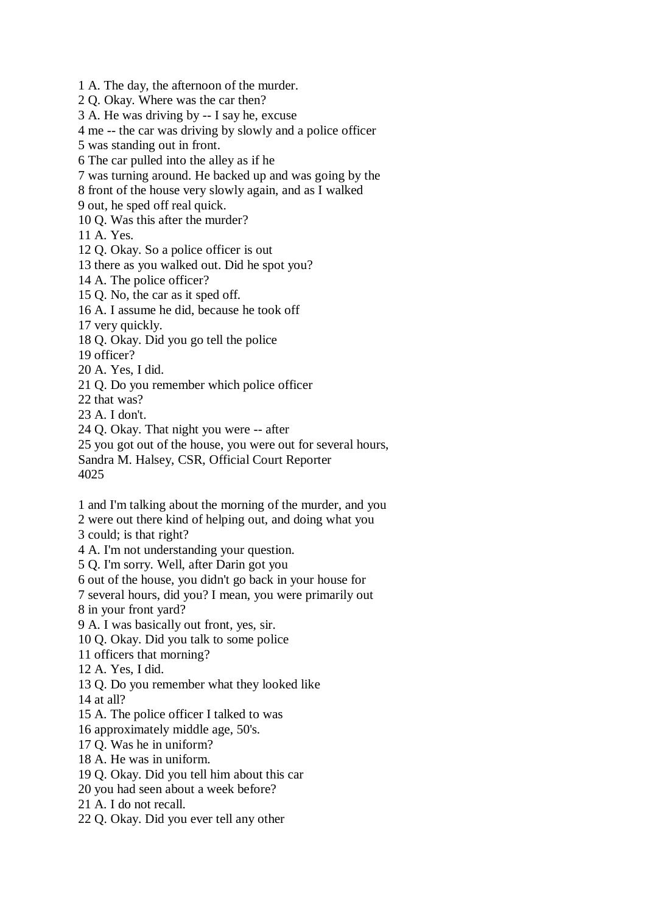1 A. The day, the afternoon of the murder.

2 Q. Okay. Where was the car then?

3 A. He was driving by -- I say he, excuse

4 me -- the car was driving by slowly and a police officer

5 was standing out in front.

6 The car pulled into the alley as if he

7 was turning around. He backed up and was going by the

8 front of the house very slowly again, and as I walked

9 out, he sped off real quick.

10 Q. Was this after the murder?

11 A. Yes.

12 Q. Okay. So a police officer is out

13 there as you walked out. Did he spot you?

14 A. The police officer?

15 Q. No, the car as it sped off.

16 A. I assume he did, because he took off

17 very quickly.

18 Q. Okay. Did you go tell the police

19 officer?

20 A. Yes, I did.

21 Q. Do you remember which police officer

22 that was?

23 A. I don't.

24 Q. Okay. That night you were -- after

25 you got out of the house, you were out for several hours,

Sandra M. Halsey, CSR, Official Court Reporter

4025

1 and I'm talking about the morning of the murder, and you

2 were out there kind of helping out, and doing what you

3 could; is that right?

4 A. I'm not understanding your question.

5 Q. I'm sorry. Well, after Darin got you

6 out of the house, you didn't go back in your house for

7 several hours, did you? I mean, you were primarily out

8 in your front yard?

9 A. I was basically out front, yes, sir.

10 Q. Okay. Did you talk to some police

11 officers that morning?

12 A. Yes, I did.

13 Q. Do you remember what they looked like

14 at all?

15 A. The police officer I talked to was

16 approximately middle age, 50's.

17 Q. Was he in uniform?

18 A. He was in uniform.

19 Q. Okay. Did you tell him about this car

20 you had seen about a week before?

21 A. I do not recall.

22 Q. Okay. Did you ever tell any other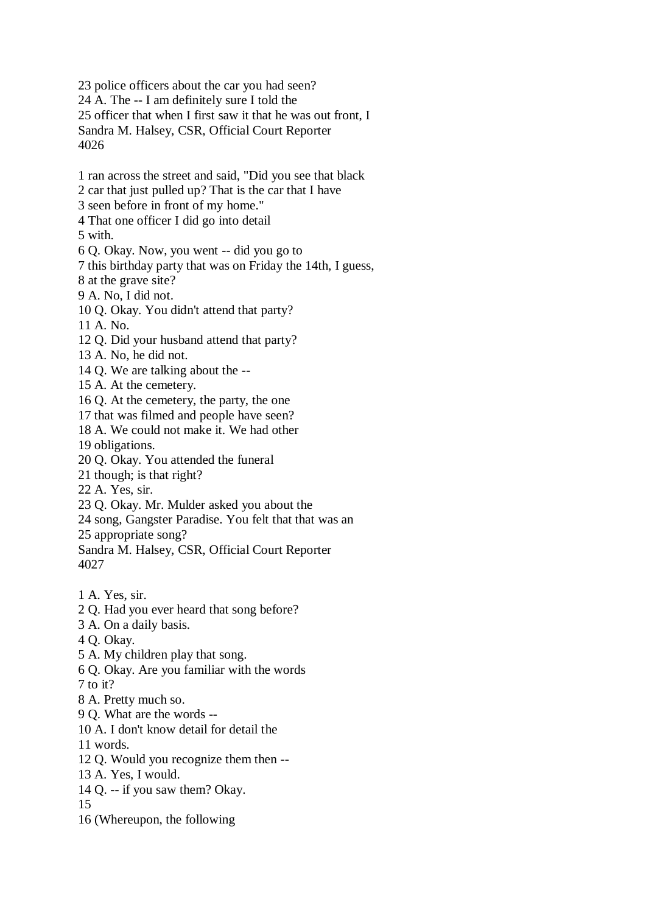23 police officers about the car you had seen? 24 A. The -- I am definitely sure I told the 25 officer that when I first saw it that he was out front, I Sandra M. Halsey, CSR, Official Court Reporter 4026

1 ran across the street and said, "Did you see that black 2 car that just pulled up? That is the car that I have 3 seen before in front of my home." 4 That one officer I did go into detail 5 with. 6 Q. Okay. Now, you went -- did you go to 7 this birthday party that was on Friday the 14th, I guess, 8 at the grave site? 9 A. No, I did not. 10 Q. Okay. You didn't attend that party? 11 A. No. 12 Q. Did your husband attend that party? 13 A. No, he did not. 14 Q. We are talking about the -- 15 A. At the cemetery. 16 Q. At the cemetery, the party, the one 17 that was filmed and people have seen? 18 A. We could not make it. We had other 19 obligations. 20 Q. Okay. You attended the funeral 21 though; is that right? 22 A. Yes, sir. 23 Q. Okay. Mr. Mulder asked you about the 24 song, Gangster Paradise. You felt that that was an 25 appropriate song? Sandra M. Halsey, CSR, Official Court Reporter 4027 1 A. Yes, sir. 2 Q. Had you ever heard that song before? 3 A. On a daily basis. 4 Q. Okay. 5 A. My children play that song. 6 Q. Okay. Are you familiar with the words  $7$  to it? 8 A. Pretty much so. 9 Q. What are the words -- 10 A. I don't know detail for detail the

11 words.

12 Q. Would you recognize them then --

13 A. Yes, I would.

14 Q. -- if you saw them? Okay.

15

16 (Whereupon, the following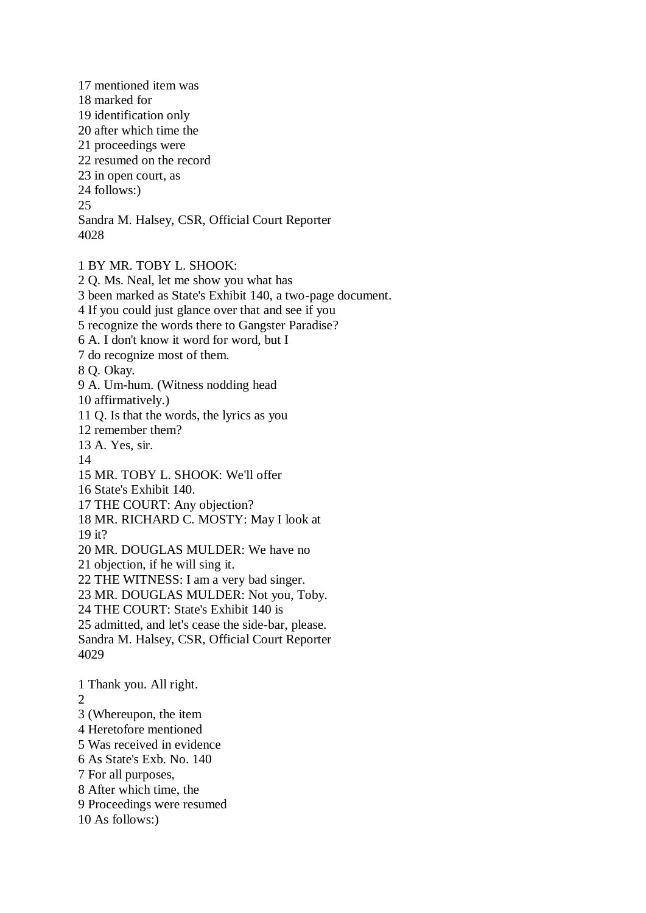17 mentioned item was 18 marked for 19 identification only 20 after which time the 21 proceedings were 22 resumed on the record 23 in open court, as 24 follows:) 25 Sandra M. Halsey, CSR, Official Court Reporter 4028

1 BY MR. TOBY L. SHOOK: 2 Q. Ms. Neal, let me show you what has 3 been marked as State's Exhibit 140, a two-page document. 4 If you could just glance over that and see if you 5 recognize the words there to Gangster Paradise? 6 A. I don't know it word for word, but I 7 do recognize most of them. 8 Q. Okay. 9 A. Um-hum. (Witness nodding head 10 affirmatively.) 11 Q. Is that the words, the lyrics as you 12 remember them? 13 A. Yes, sir. 14 15 MR. TOBY L. SHOOK: We'll offer 16 State's Exhibit 140. 17 THE COURT: Any objection? 18 MR. RICHARD C. MOSTY: May I look at 19 it? 20 MR. DOUGLAS MULDER: We have no 21 objection, if he will sing it. 22 THE WITNESS: I am a very bad singer. 23 MR. DOUGLAS MULDER: Not you, Toby. 24 THE COURT: State's Exhibit 140 is 25 admitted, and let's cease the side-bar, please. Sandra M. Halsey, CSR, Official Court Reporter 4029 1 Thank you. All right.  $\mathcal{L}$ 3 (Whereupon, the item 4 Heretofore mentioned 5 Was received in evidence 6 As State's Exb. No. 140

- 7 For all purposes,
- 8 After which time, the
- 9 Proceedings were resumed
- 10 As follows:)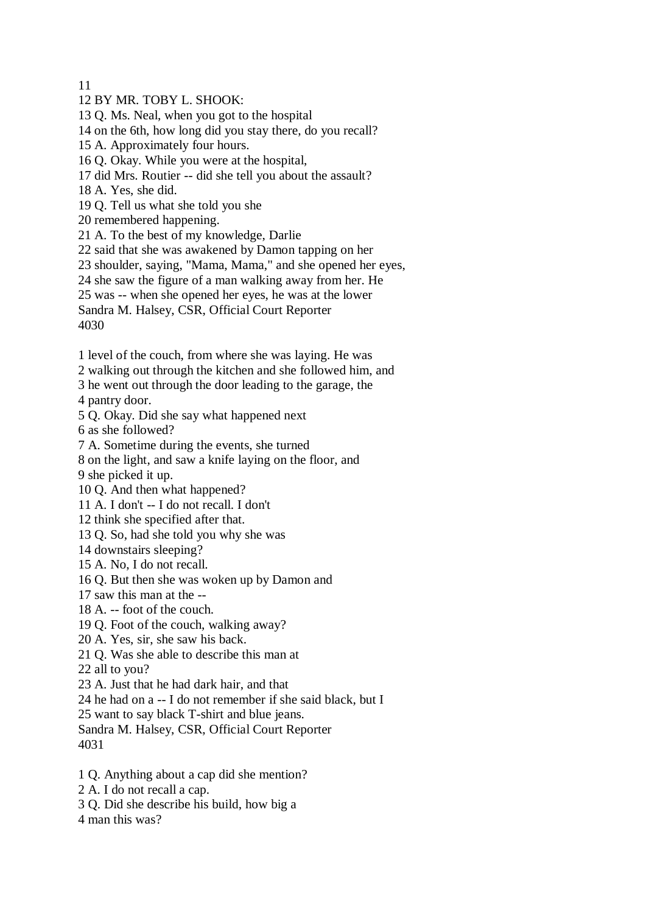11

12 BY MR. TOBY L. SHOOK:

13 Q. Ms. Neal, when you got to the hospital

14 on the 6th, how long did you stay there, do you recall?

15 A. Approximately four hours.

16 Q. Okay. While you were at the hospital,

17 did Mrs. Routier -- did she tell you about the assault?

18 A. Yes, she did.

19 Q. Tell us what she told you she

20 remembered happening.

21 A. To the best of my knowledge, Darlie

22 said that she was awakened by Damon tapping on her

23 shoulder, saying, "Mama, Mama," and she opened her eyes,

24 she saw the figure of a man walking away from her. He

25 was -- when she opened her eyes, he was at the lower

Sandra M. Halsey, CSR, Official Court Reporter

4030

1 level of the couch, from where she was laying. He was

2 walking out through the kitchen and she followed him, and

3 he went out through the door leading to the garage, the

4 pantry door.

5 Q. Okay. Did she say what happened next

6 as she followed?

7 A. Sometime during the events, she turned

8 on the light, and saw a knife laying on the floor, and

9 she picked it up.

10 Q. And then what happened?

11 A. I don't -- I do not recall. I don't

12 think she specified after that.

13 Q. So, had she told you why she was

14 downstairs sleeping?

15 A. No, I do not recall.

16 Q. But then she was woken up by Damon and

17 saw this man at the --

18 A. -- foot of the couch.

19 Q. Foot of the couch, walking away?

20 A. Yes, sir, she saw his back.

21 Q. Was she able to describe this man at

22 all to you?

23 A. Just that he had dark hair, and that

24 he had on a -- I do not remember if she said black, but I

25 want to say black T-shirt and blue jeans.

Sandra M. Halsey, CSR, Official Court Reporter 4031

1 Q. Anything about a cap did she mention?

2 A. I do not recall a cap.

3 Q. Did she describe his build, how big a

4 man this was?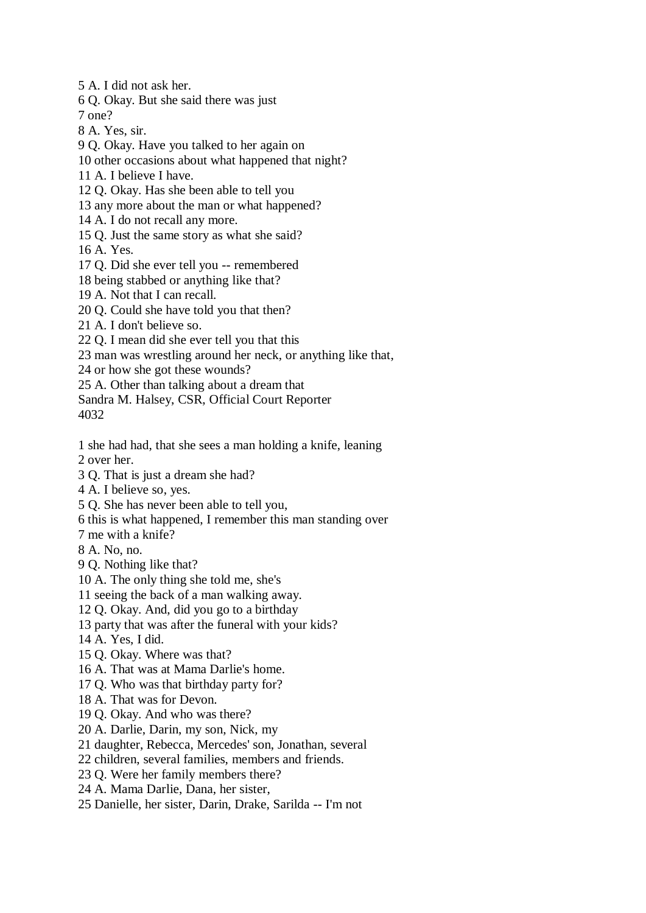5 A. I did not ask her.

6 Q. Okay. But she said there was just

7 one?

- 8 A. Yes, sir.
- 9 Q. Okay. Have you talked to her again on
- 10 other occasions about what happened that night?
- 11 A. I believe I have.
- 12 Q. Okay. Has she been able to tell you
- 13 any more about the man or what happened?
- 14 A. I do not recall any more.
- 15 Q. Just the same story as what she said?

16 A. Yes.

- 17 Q. Did she ever tell you -- remembered
- 18 being stabbed or anything like that?
- 19 A. Not that I can recall.
- 20 Q. Could she have told you that then?
- 21 A. I don't believe so.
- 22 Q. I mean did she ever tell you that this
- 23 man was wrestling around her neck, or anything like that,
- 24 or how she got these wounds?
- 25 A. Other than talking about a dream that
- Sandra M. Halsey, CSR, Official Court Reporter 4032
- 1 she had had, that she sees a man holding a knife, leaning 2 over her.
- 3 Q. That is just a dream she had?
- 4 A. I believe so, yes.
- 5 Q. She has never been able to tell you,
- 6 this is what happened, I remember this man standing over
- 7 me with a knife?
- 8 A. No, no.
- 9 Q. Nothing like that?
- 10 A. The only thing she told me, she's
- 11 seeing the back of a man walking away.
- 12 Q. Okay. And, did you go to a birthday
- 13 party that was after the funeral with your kids?
- 14 A. Yes, I did.
- 15 Q. Okay. Where was that?
- 16 A. That was at Mama Darlie's home.
- 17 Q. Who was that birthday party for?
- 18 A. That was for Devon.
- 19 Q. Okay. And who was there?
- 20 A. Darlie, Darin, my son, Nick, my
- 21 daughter, Rebecca, Mercedes' son, Jonathan, several
- 22 children, several families, members and friends.
- 23 Q. Were her family members there?
- 24 A. Mama Darlie, Dana, her sister,
- 25 Danielle, her sister, Darin, Drake, Sarilda -- I'm not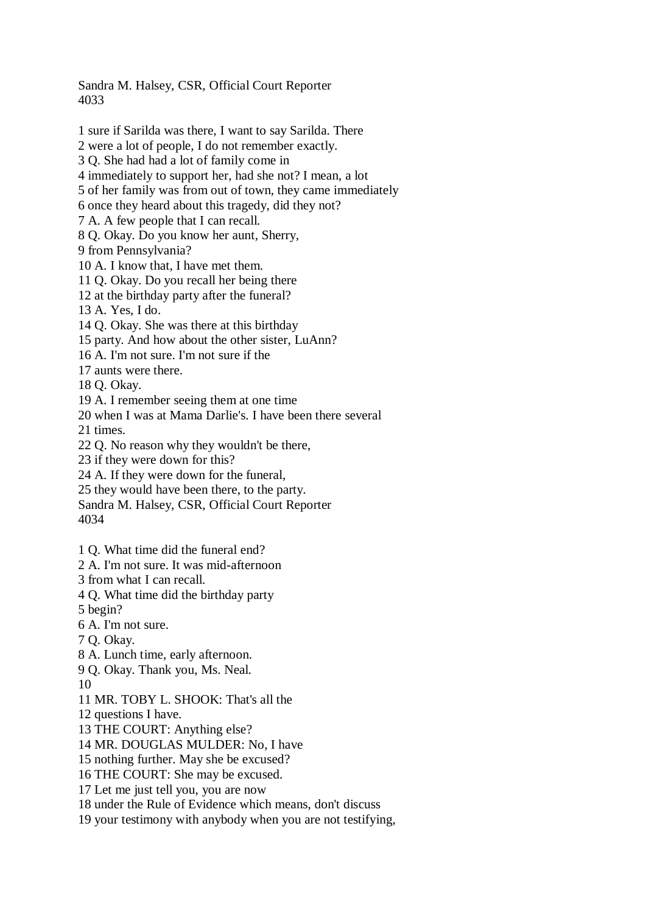Sandra M. Halsey, CSR, Official Court Reporter 4033

1 sure if Sarilda was there, I want to say Sarilda. There 2 were a lot of people, I do not remember exactly. 3 Q. She had had a lot of family come in 4 immediately to support her, had she not? I mean, a lot 5 of her family was from out of town, they came immediately 6 once they heard about this tragedy, did they not? 7 A. A few people that I can recall. 8 Q. Okay. Do you know her aunt, Sherry, 9 from Pennsylvania? 10 A. I know that, I have met them. 11 Q. Okay. Do you recall her being there 12 at the birthday party after the funeral? 13 A. Yes, I do. 14 Q. Okay. She was there at this birthday 15 party. And how about the other sister, LuAnn? 16 A. I'm not sure. I'm not sure if the 17 aunts were there. 18 Q. Okay. 19 A. I remember seeing them at one time 20 when I was at Mama Darlie's. I have been there several 21 times. 22 Q. No reason why they wouldn't be there, 23 if they were down for this? 24 A. If they were down for the funeral, 25 they would have been there, to the party. Sandra M. Halsey, CSR, Official Court Reporter 4034 1 Q. What time did the funeral end? 2 A. I'm not sure. It was mid-afternoon 3 from what I can recall. 4 Q. What time did the birthday party 5 begin? 6 A. I'm not sure. 7 Q. Okay. 8 A. Lunch time, early afternoon. 9 Q. Okay. Thank you, Ms. Neal. 10 11 MR. TOBY L. SHOOK: That's all the 12 questions I have. 13 THE COURT: Anything else? 14 MR. DOUGLAS MULDER: No, I have 15 nothing further. May she be excused? 16 THE COURT: She may be excused.

17 Let me just tell you, you are now

18 under the Rule of Evidence which means, don't discuss

19 your testimony with anybody when you are not testifying,